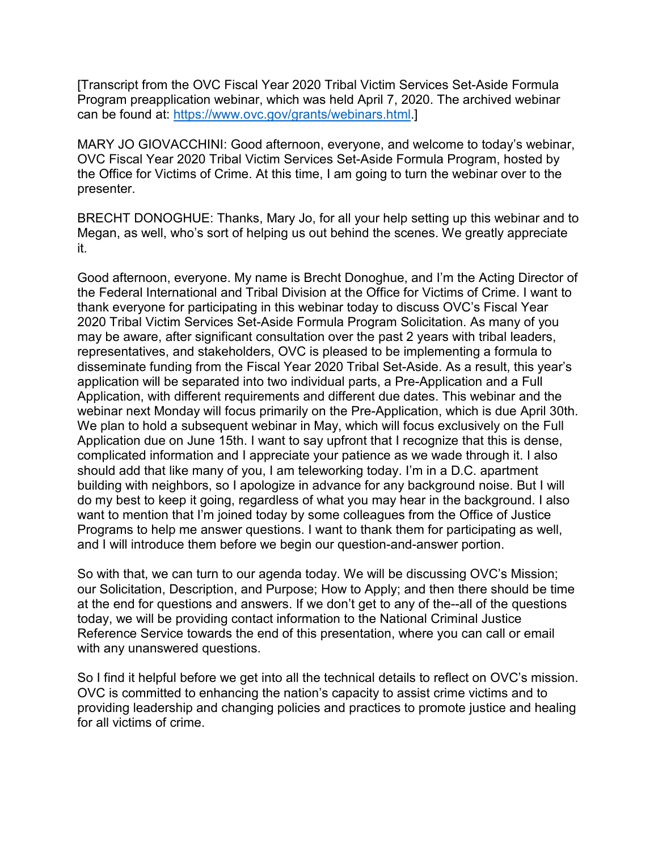[Transcript from the OVC Fiscal Year 2020 Tribal Victim Services Set-Aside Formula Program preapplication webinar, which was held April 7, 2020. The archived webinar can be found at: <https://www.ovc.gov/grants/webinars.html>.]

MARY JO GIOVACCHINI: Good afternoon, everyone, and welcome to today's webinar, OVC Fiscal Year 2020 Tribal Victim Services Set-Aside Formula Program, hosted by the Office for Victims of Crime. At this time, I am going to turn the webinar over to the presenter.

 Megan, as well, who's sort of helping us out behind the scenes. We greatly appreciate BRECHT DONOGHUE: Thanks, Mary Jo, for all your help setting up this webinar and to it.

 the Federal International and Tribal Division at the Office for Victims of Crime. I want to thank everyone for participating in this webinar today to discuss OVC's Fiscal Year Good afternoon, everyone. My name is Brecht Donoghue, and I'm the Acting Director of 2020 Tribal Victim Services Set-Aside Formula Program Solicitation. As many of you may be aware, after significant consultation over the past 2 years with tribal leaders, representatives, and stakeholders, OVC is pleased to be implementing a formula to disseminate funding from the Fiscal Year 2020 Tribal Set-Aside. As a result, this year's application will be separated into two individual parts, a Pre-Application and a Full Application, with different requirements and different due dates. This webinar and the webinar next Monday will focus primarily on the Pre-Application, which is due April 30th. We plan to hold a subsequent webinar in May, which will focus exclusively on the Full Application due on June 15th. I want to say upfront that I recognize that this is dense, complicated information and I appreciate your patience as we wade through it. I also should add that like many of you, I am teleworking today. I'm in a D.C. apartment building with neighbors, so I apologize in advance for any background noise. But I will do my best to keep it going, regardless of what you may hear in the background. I also want to mention that I'm joined today by some colleagues from the Office of Justice Programs to help me answer questions. I want to thank them for participating as well, and I will introduce them before we begin our question-and-answer portion.

 Reference Service towards the end of this presentation, where you can call or email So with that, we can turn to our agenda today. We will be discussing OVC's Mission; our Solicitation, Description, and Purpose; How to Apply; and then there should be time at the end for questions and answers. If we don't get to any of the--all of the questions today, we will be providing contact information to the National Criminal Justice with any unanswered questions.

 So I find it helpful before we get into all the technical details to reflect on OVC's mission. OVC is committed to enhancing the nation's capacity to assist crime victims and to providing leadership and changing policies and practices to promote justice and healing for all victims of crime.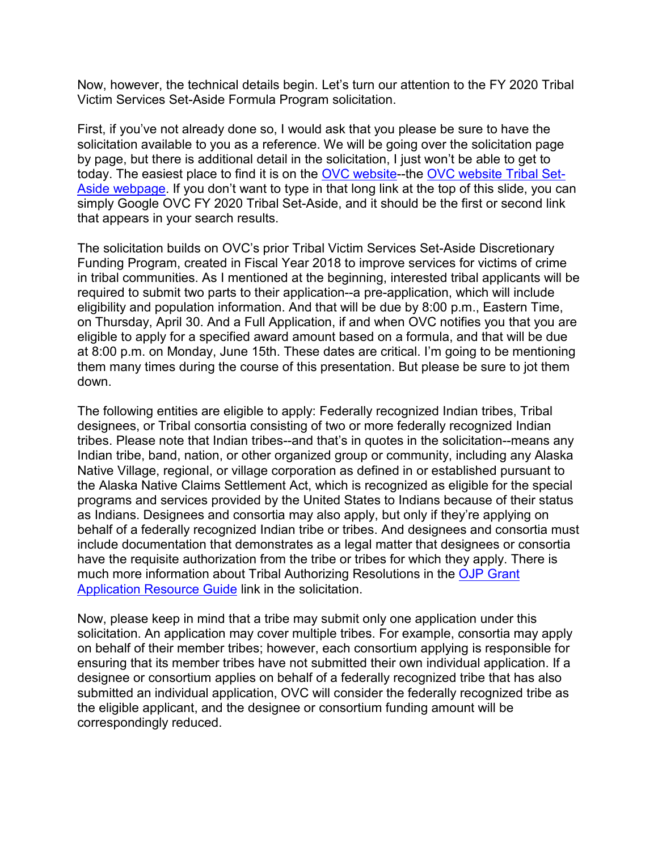Now, however, the technical details begin. Let's turn our attention to the FY 2020 Tribal Victim Services Set-Aside Formula Program solicitation.

First, if you've not already done so, I would ask that you please be sure to have the solicitation available to you as a reference. We will be going over the solicitation page by page, but there is additional detail in the solicitation, I just won't be able to get to today. The easiest place to find it is on the [OVC website-](http://www.ovc.gov/)-the [OVC website Tribal Set-](https://www.ovc.gov/grants/pdftxt/FY20-Tribal-VSSA-Soliciation.pdf)[Aside webpage.](https://www.ovc.gov/grants/pdftxt/FY20-Tribal-VSSA-Soliciation.pdf) If you don't want to type in that long link at the top of this slide, you can simply Google OVC FY 2020 Tribal Set-Aside, and it should be the first or second link that appears in your search results.

 The solicitation builds on OVC's prior Tribal Victim Services Set-Aside Discretionary in tribal communities. As I mentioned at the beginning, interested tribal applicants will be on Thursday, April 30. And a Full Application, if and when OVC notifies you that you are eligible to apply for a specified award amount based on a formula, and that will be due Funding Program, created in Fiscal Year 2018 to improve services for victims of crime required to submit two parts to their application--a pre-application, which will include eligibility and population information. And that will be due by 8:00 p.m., Eastern Time, at 8:00 p.m. on Monday, June 15th. These dates are critical. I'm going to be mentioning them many times during the course of this presentation. But please be sure to jot them down.

 The following entities are eligible to apply: Federally recognized Indian tribes, Tribal designees, or Tribal consortia consisting of two or more federally recognized Indian have the requisite authorization from the tribe or tribes for which they apply. There is much more information about Tribal Authorizing Resolutions in the <u>OJP Grant</u> tribes. Please note that Indian tribes--and that's in quotes in the solicitation--means any Indian tribe, band, nation, or other organized group or community, including any Alaska Native Village, regional, or village corporation as defined in or established pursuant to the Alaska Native Claims Settlement Act, which is recognized as eligible for the special programs and services provided by the United States to Indians because of their status as Indians. Designees and consortia may also apply, but only if they're applying on behalf of a federally recognized Indian tribe or tribes. And designees and consortia must include documentation that demonstrates as a legal matter that designees or consortia [Application Resource Guide](https://www.ojp.gov/funding/apply/ojp-grant-application-resource-guide) link in the solicitation.

 Now, please keep in mind that a tribe may submit only one application under this solicitation. An application may cover multiple tribes. For example, consortia may apply on behalf of their member tribes; however, each consortium applying is responsible for ensuring that its member tribes have not submitted their own individual application. If a designee or consortium applies on behalf of a federally recognized tribe that has also submitted an individual application, OVC will consider the federally recognized tribe as the eligible applicant, and the designee or consortium funding amount will be correspondingly reduced.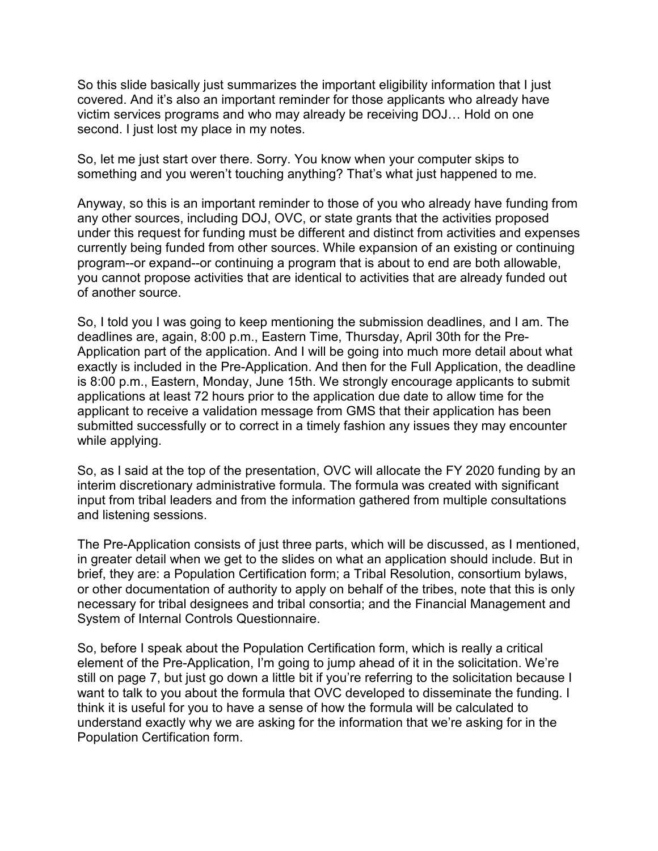So this slide basically just summarizes the important eligibility information that I just covered. And it's also an important reminder for those applicants who already have victim services programs and who may already be receiving DOJ… Hold on one second. I just lost my place in my notes.

So, let me just start over there. Sorry. You know when your computer skips to something and you weren't touching anything? That's what just happened to me.

 Anyway, so this is an important reminder to those of you who already have funding from under this request for funding must be different and distinct from activities and expenses currently being funded from other sources. While expansion of an existing or continuing any other sources, including DOJ, OVC, or state grants that the activities proposed program--or expand--or continuing a program that is about to end are both allowable, you cannot propose activities that are identical to activities that are already funded out of another source.

 exactly is included in the Pre-Application. And then for the Full Application, the deadline So, I told you I was going to keep mentioning the submission deadlines, and I am. The deadlines are, again, 8:00 p.m., Eastern Time, Thursday, April 30th for the Pre-Application part of the application. And I will be going into much more detail about what is 8:00 p.m., Eastern, Monday, June 15th. We strongly encourage applicants to submit applications at least 72 hours prior to the application due date to allow time for the applicant to receive a validation message from GMS that their application has been submitted successfully or to correct in a timely fashion any issues they may encounter while applying.

So, as I said at the top of the presentation, OVC will allocate the FY 2020 funding by an interim discretionary administrative formula. The formula was created with significant input from tribal leaders and from the information gathered from multiple consultations and listening sessions.

 The Pre-Application consists of just three parts, which will be discussed, as I mentioned, in greater detail when we get to the slides on what an application should include. But in brief, they are: a Population Certification form; a Tribal Resolution, consortium bylaws, or other documentation of authority to apply on behalf of the tribes, note that this is only necessary for tribal designees and tribal consortia; and the Financial Management and System of Internal Controls Questionnaire.

 element of the Pre-Application, I'm going to jump ahead of it in the solicitation. We're still on page 7, but just go down a little bit if you're referring to the solicitation because I want to talk to you about the formula that OVC developed to disseminate the funding. I So, before I speak about the Population Certification form, which is really a critical think it is useful for you to have a sense of how the formula will be calculated to understand exactly why we are asking for the information that we're asking for in the Population Certification form.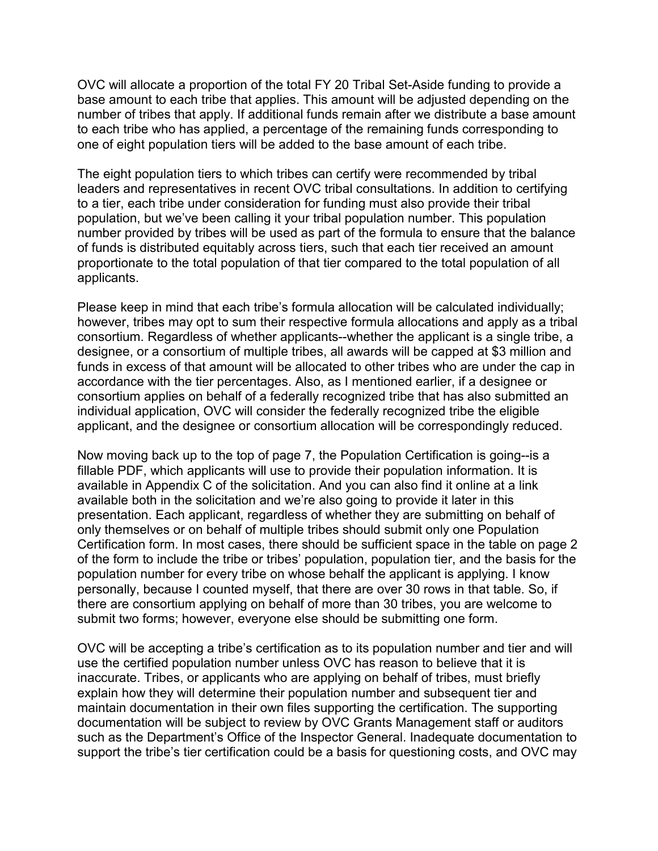base amount to each tribe that applies. This amount will be adjusted depending on the to each tribe who has applied, a percentage of the remaining funds corresponding to one of eight population tiers will be added to the base amount of each tribe. OVC will allocate a proportion of the total FY 20 Tribal Set-Aside funding to provide a number of tribes that apply. If additional funds remain after we distribute a base amount

 to a tier, each tribe under consideration for funding must also provide their tribal of funds is distributed equitably across tiers, such that each tier received an amount The eight population tiers to which tribes can certify were recommended by tribal leaders and representatives in recent OVC tribal consultations. In addition to certifying population, but we've been calling it your tribal population number. This population number provided by tribes will be used as part of the formula to ensure that the balance proportionate to the total population of that tier compared to the total population of all applicants.

 designee, or a consortium of multiple tribes, all awards will be capped at \$3 million and Please keep in mind that each tribe's formula allocation will be calculated individually; however, tribes may opt to sum their respective formula allocations and apply as a tribal consortium. Regardless of whether applicants--whether the applicant is a single tribe, a funds in excess of that amount will be allocated to other tribes who are under the cap in accordance with the tier percentages. Also, as I mentioned earlier, if a designee or consortium applies on behalf of a federally recognized tribe that has also submitted an individual application, OVC will consider the federally recognized tribe the eligible applicant, and the designee or consortium allocation will be correspondingly reduced.

 presentation. Each applicant, regardless of whether they are submitting on behalf of of the form to include the tribe or tribes' population, population tier, and the basis for the population number for every tribe on whose behalf the applicant is applying. I know Now moving back up to the top of page 7, the Population Certification is going--is a fillable PDF, which applicants will use to provide their population information. It is available in Appendix C of the solicitation. And you can also find it online at a link available both in the solicitation and we're also going to provide it later in this only themselves or on behalf of multiple tribes should submit only one Population Certification form. In most cases, there should be sufficient space in the table on page 2 personally, because I counted myself, that there are over 30 rows in that table. So, if there are consortium applying on behalf of more than 30 tribes, you are welcome to submit two forms; however, everyone else should be submitting one form.

 OVC will be accepting a tribe's certification as to its population number and tier and will documentation will be subject to review by OVC Grants Management staff or auditors support the tribe's tier certification could be a basis for questioning costs, and OVC may use the certified population number unless OVC has reason to believe that it is inaccurate. Tribes, or applicants who are applying on behalf of tribes, must briefly explain how they will determine their population number and subsequent tier and maintain documentation in their own files supporting the certification. The supporting such as the Department's Office of the Inspector General. Inadequate documentation to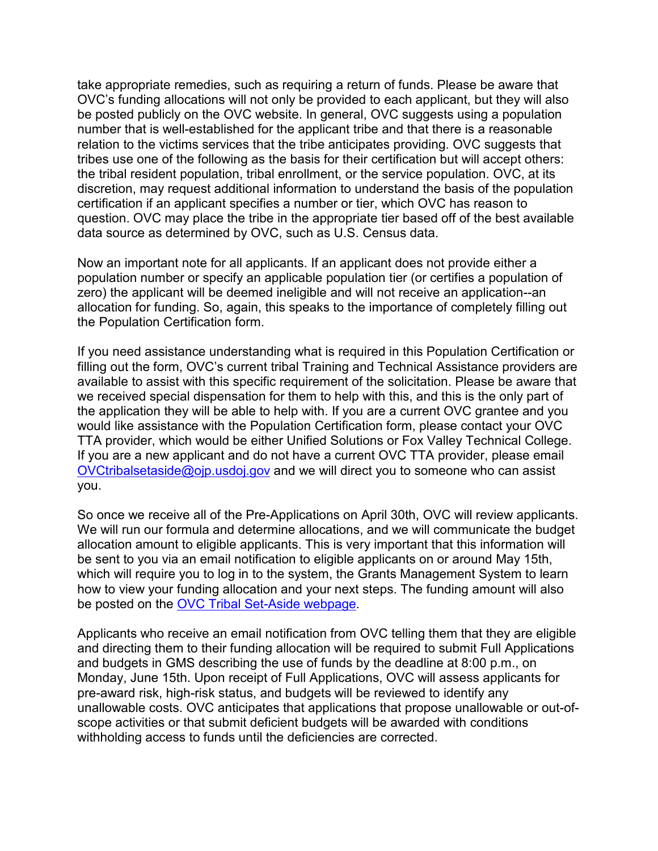take appropriate remedies, such as requiring a return of funds. Please be aware that tribes use one of the following as the basis for their certification but will accept others: question. OVC may place the tribe in the appropriate tier based off of the best available data source as determined by OVC, such as U.S. Census data. OVC's funding allocations will not only be provided to each applicant, but they will also be posted publicly on the OVC website. In general, OVC suggests using a population number that is well-established for the applicant tribe and that there is a reasonable relation to the victims services that the tribe anticipates providing. OVC suggests that the tribal resident population, tribal enrollment, or the service population. OVC, at its discretion, may request additional information to understand the basis of the population certification if an applicant specifies a number or tier, which OVC has reason to

 allocation for funding. So, again, this speaks to the importance of completely filling out Now an important note for all applicants. If an applicant does not provide either a population number or specify an applicable population tier (or certifies a population of zero) the applicant will be deemed ineligible and will not receive an application--an the Population Certification form.

 we received special dispensation for them to help with this, and this is the only part of If you need assistance understanding what is required in this Population Certification or filling out the form, OVC's current tribal Training and Technical Assistance providers are available to assist with this specific requirement of the solicitation. Please be aware that the application they will be able to help with. If you are a current OVC grantee and you would like assistance with the Population Certification form, please contact your OVC TTA provider, which would be either Unified Solutions or Fox Valley Technical College. If you are a new applicant and do not have a current OVC TTA provider, please email [OVCtribalsetaside@ojp.usdoj.gov](mailto:OVCtribalsetaside@ojp.usdoj.gov) and we will direct you to someone who can assist you.

So once we receive all of the Pre-Applications on April 30th, OVC will review applicants. We will run our formula and determine allocations, and we will communicate the budget allocation amount to eligible applicants. This is very important that this information will be sent to you via an email notification to eligible applicants on or around May 15th, which will require you to log in to the system, the Grants Management System to learn how to view your funding allocation and your next steps. The funding amount will also be posted on the [OVC Tribal Set-Aside webpage.](https://www.ovc.gov/news/tribal-set-aside.html)

 and directing them to their funding allocation will be required to submit Full Applications Monday, June 15th. Upon receipt of Full Applications, OVC will assess applicants for withholding access to funds until the deficiencies are corrected. Applicants who receive an email notification from OVC telling them that they are eligible and budgets in GMS describing the use of funds by the deadline at 8:00 p.m., on pre-award risk, high-risk status, and budgets will be reviewed to identify any unallowable costs. OVC anticipates that applications that propose unallowable or out-ofscope activities or that submit deficient budgets will be awarded with conditions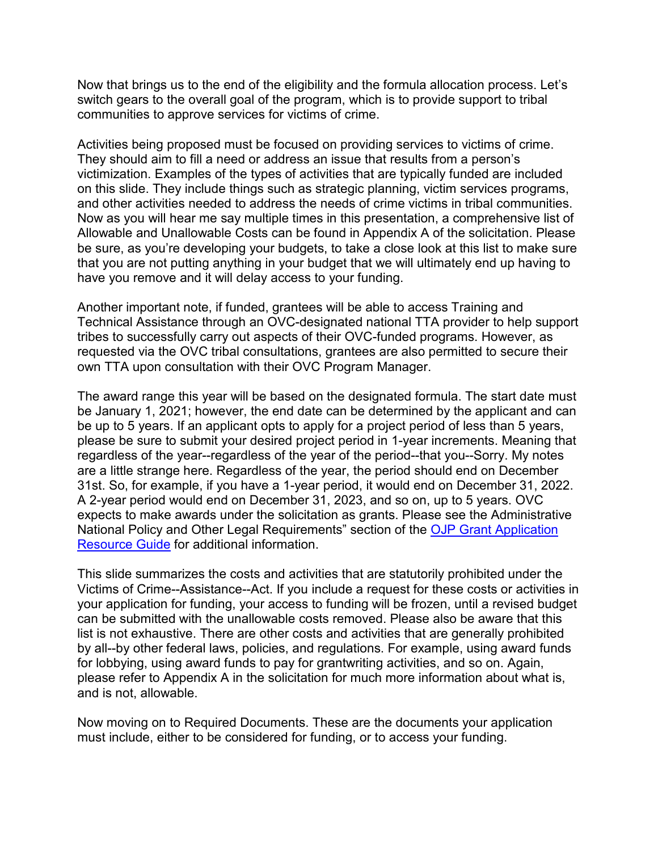Now that brings us to the end of the eligibility and the formula allocation process. Let's switch gears to the overall goal of the program, which is to provide support to tribal communities to approve services for victims of crime.

 They should aim to fill a need or address an issue that results from a person's victimization. Examples of the types of activities that are typically funded are included Allowable and Unallowable Costs can be found in Appendix A of the solicitation. Please have you remove and it will delay access to your funding. Activities being proposed must be focused on providing services to victims of crime. on this slide. They include things such as strategic planning, victim services programs, and other activities needed to address the needs of crime victims in tribal communities. Now as you will hear me say multiple times in this presentation, a comprehensive list of be sure, as you're developing your budgets, to take a close look at this list to make sure that you are not putting anything in your budget that we will ultimately end up having to

 Another important note, if funded, grantees will be able to access Training and Technical Assistance through an OVC-designated national TTA provider to help support tribes to successfully carry out aspects of their OVC-funded programs. However, as requested via the OVC tribal consultations, grantees are also permitted to secure their own TTA upon consultation with their OVC Program Manager.

 be January 1, 2021; however, the end date can be determined by the applicant and can 31st. So, for example, if you have a 1-year period, it would end on December 31, 2022. A 2-year period would end on December 31, 2023, and so on, up to 5 years. OVC The award range this year will be based on the designated formula. The start date must be up to 5 years. If an applicant opts to apply for a project period of less than 5 years, please be sure to submit your desired project period in 1-year increments. Meaning that regardless of the year--regardless of the year of the period--that you--Sorry. My notes are a little strange here. Regardless of the year, the period should end on December expects to make awards under the solicitation as grants. Please see the Administrative National Policy and Other Legal Requirements" section of the [OJP Grant Application](https://www.ojp.gov/funding/Apply/Resources/Grant-App-Resource-Guide.htm#otherLegalRequirements)  [Resource Guide](https://www.ojp.gov/funding/Apply/Resources/Grant-App-Resource-Guide.htm#otherLegalRequirements) for additional information.

 by all--by other federal laws, policies, and regulations. For example, using award funds This slide summarizes the costs and activities that are statutorily prohibited under the Victims of Crime--Assistance--Act. If you include a request for these costs or activities in your application for funding, your access to funding will be frozen, until a revised budget can be submitted with the unallowable costs removed. Please also be aware that this list is not exhaustive. There are other costs and activities that are generally prohibited for lobbying, using award funds to pay for grantwriting activities, and so on. Again, please refer to Appendix A in the solicitation for much more information about what is, and is not, allowable.

 must include, either to be considered for funding, or to access your funding. Now moving on to Required Documents. These are the documents your application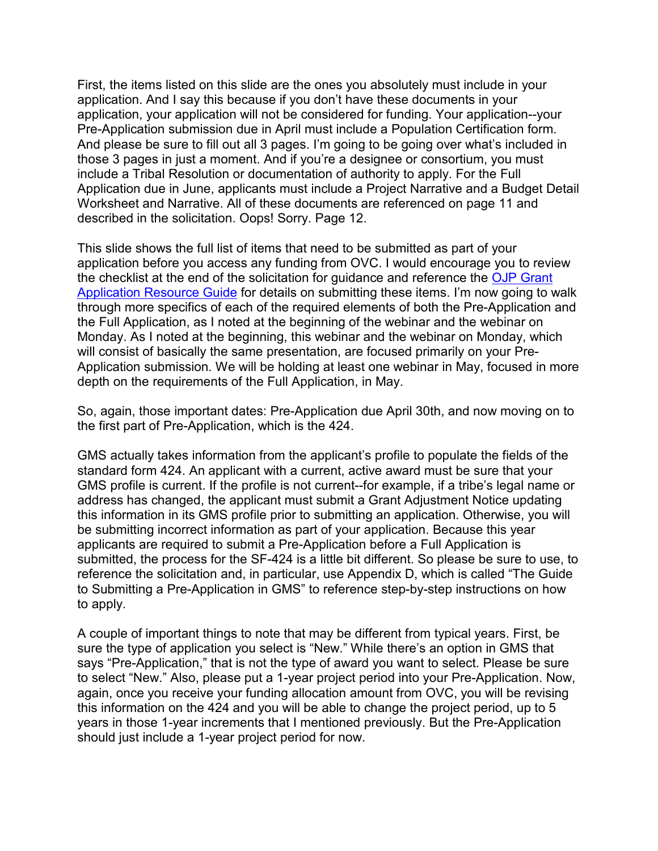First, the items listed on this slide are the ones you absolutely must include in your application. And I say this because if you don't have these documents in your application, your application will not be considered for funding. Your application--your Pre-Application submission due in April must include a Population Certification form. And please be sure to fill out all 3 pages. I'm going to be going over what's included in those 3 pages in just a moment. And if you're a designee or consortium, you must include a Tribal Resolution or documentation of authority to apply. For the Full Application due in June, applicants must include a Project Narrative and a Budget Detail Worksheet and Narrative. All of these documents are referenced on page 11 and described in the solicitation. Oops! Sorry. Page 12.

This slide shows the full list of items that need to be submitted as part of your application before you access any funding from OVC. I would encourage you to review the checklist at the end of the solicitation for guidance and reference the OJP Grant [Application Resource Guide](https://www.ojp.gov/funding/Apply/Resources/Grant-App-Resource-Guide.htm) for details on submitting these items. I'm now going to walk through more specifics of each of the required elements of both the Pre-Application and the Full Application, as I noted at the beginning of the webinar and the webinar on Monday. As I noted at the beginning, this webinar and the webinar on Monday, which will consist of basically the same presentation, are focused primarily on your Pre-Application submission. We will be holding at least one webinar in May, focused in more depth on the requirements of the Full Application, in May.

So, again, those important dates: Pre-Application due April 30th, and now moving on to the first part of Pre-Application, which is the 424.

 standard form 424. An applicant with a current, active award must be sure that your address has changed, the applicant must submit a Grant Adjustment Notice updating be submitting incorrect information as part of your application. Because this year submitted, the process for the SF-424 is a little bit different. So please be sure to use, to GMS actually takes information from the applicant's profile to populate the fields of the GMS profile is current. If the profile is not current--for example, if a tribe's legal name or this information in its GMS profile prior to submitting an application. Otherwise, you will applicants are required to submit a Pre-Application before a Full Application is reference the solicitation and, in particular, use Appendix D, which is called "The Guide to Submitting a Pre-Application in GMS" to reference step-by-step instructions on how to apply.

 again, once you receive your funding allocation amount from OVC, you will be revising years in those 1-year increments that I mentioned previously. But the Pre-Application A couple of important things to note that may be different from typical years. First, be sure the type of application you select is "New." While there's an option in GMS that says "Pre-Application," that is not the type of award you want to select. Please be sure to select "New." Also, please put a 1-year project period into your Pre-Application. Now, this information on the 424 and you will be able to change the project period, up to 5 should just include a 1-year project period for now.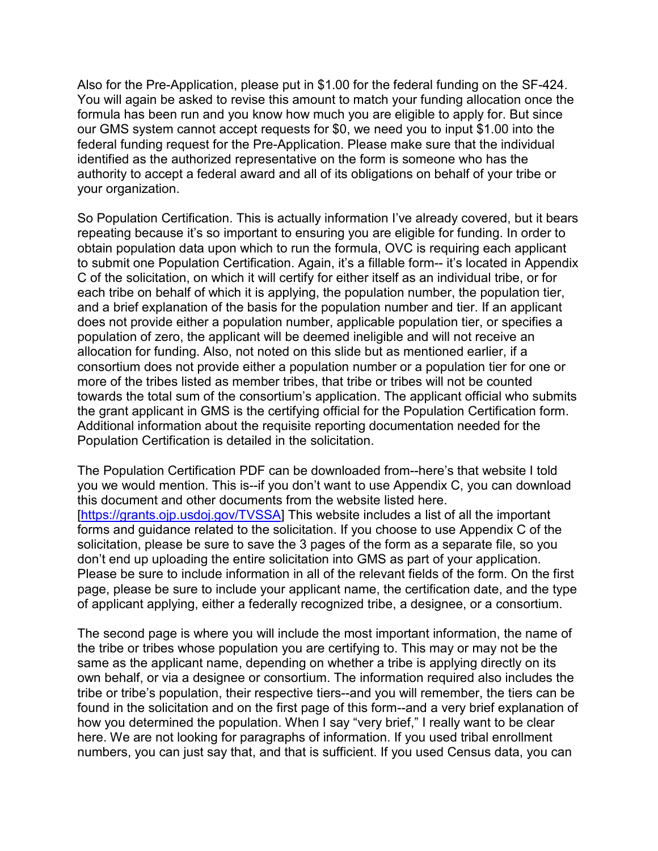You will again be asked to revise this amount to match your funding allocation once the our GMS system cannot accept requests for \$0, we need you to input \$1.00 into the Also for the Pre-Application, please put in \$1.00 for the federal funding on the SF-424. formula has been run and you know how much you are eligible to apply for. But since federal funding request for the Pre-Application. Please make sure that the individual identified as the authorized representative on the form is someone who has the authority to accept a federal award and all of its obligations on behalf of your tribe or your organization.

 So Population Certification. This is actually information I've already covered, but it bears population of zero, the applicant will be deemed ineligible and will not receive an allocation for funding. Also, not noted on this slide but as mentioned earlier, if a repeating because it's so important to ensuring you are eligible for funding. In order to obtain population data upon which to run the formula, OVC is requiring each applicant to submit one Population Certification. Again, it's a fillable form-- it's located in Appendix C of the solicitation, on which it will certify for either itself as an individual tribe, or for each tribe on behalf of which it is applying, the population number, the population tier, and a brief explanation of the basis for the population number and tier. If an applicant does not provide either a population number, applicable population tier, or specifies a consortium does not provide either a population number or a population tier for one or more of the tribes listed as member tribes, that tribe or tribes will not be counted towards the total sum of the consortium's application. The applicant official who submits the grant applicant in GMS is the certifying official for the Population Certification form. Additional information about the requisite reporting documentation needed for the Population Certification is detailed in the solicitation.

 The Population Certification PDF can be downloaded from--here's that website I told [\[https://grants.ojp.usdoj.gov/TVSSA\]](https://grants.ojp.usdoj.gov/TVSSA) This website includes a list of all the important solicitation, please be sure to save the 3 pages of the form as a separate file, so you Please be sure to include information in all of the relevant fields of the form. On the first you we would mention. This is--if you don't want to use Appendix C, you can download this document and other documents from the website listed here. forms and guidance related to the solicitation. If you choose to use Appendix C of the don't end up uploading the entire solicitation into GMS as part of your application. page, please be sure to include your applicant name, the certification date, and the type of applicant applying, either a federally recognized tribe, a designee, or a consortium.

 the tribe or tribes whose population you are certifying to. This may or may not be the same as the applicant name, depending on whether a tribe is applying directly on its found in the solicitation and on the first page of this form--and a very brief explanation of numbers, you can just say that, and that is sufficient. If you used Census data, you can The second page is where you will include the most important information, the name of own behalf, or via a designee or consortium. The information required also includes the tribe or tribe's population, their respective tiers--and you will remember, the tiers can be how you determined the population. When I say "very brief," I really want to be clear here. We are not looking for paragraphs of information. If you used tribal enrollment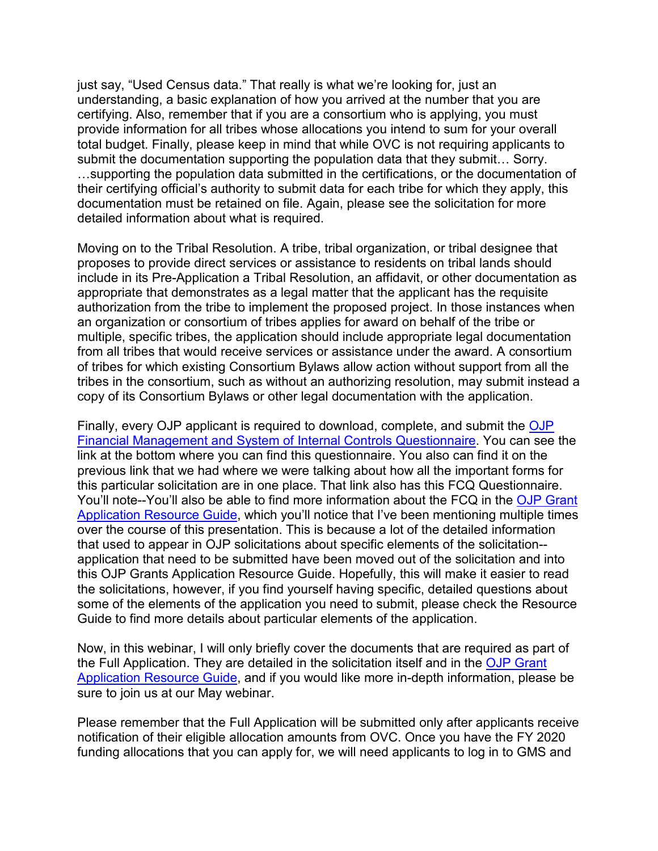just say, "Used Census data." That really is what we're looking for, just an provide information for all tribes whose allocations you intend to sum for your overall detailed information about what is required. understanding, a basic explanation of how you arrived at the number that you are certifying. Also, remember that if you are a consortium who is applying, you must total budget. Finally, please keep in mind that while OVC is not requiring applicants to submit the documentation supporting the population data that they submit… Sorry. …supporting the population data submitted in the certifications, or the documentation of their certifying official's authority to submit data for each tribe for which they apply, this documentation must be retained on file. Again, please see the solicitation for more

 an organization or consortium of tribes applies for award on behalf of the tribe or copy of its Consortium Bylaws or other legal documentation with the application. Moving on to the Tribal Resolution. A tribe, tribal organization, or tribal designee that proposes to provide direct services or assistance to residents on tribal lands should include in its Pre-Application a Tribal Resolution, an affidavit, or other documentation as appropriate that demonstrates as a legal matter that the applicant has the requisite authorization from the tribe to implement the proposed project. In those instances when multiple, specific tribes, the application should include appropriate legal documentation from all tribes that would receive services or assistance under the award. A consortium of tribes for which existing Consortium Bylaws allow action without support from all the tribes in the consortium, such as without an authorizing resolution, may submit instead a

 link at the bottom where you can find this questionnaire. You also can find it on the previous link that we had where we were talking about how all the important forms for over the course of this presentation. This is because a lot of the detailed information application that need to be submitted have been moved out of the solicitation and into some of the elements of the application you need to submit, please check the Resource Guide to find more details about particular elements of the application. Finally, every [OJP](https://ojp.gov/funding/Apply/Resources/FinancialCapability.pdf) applicant is required to download, complete, and submit the OJP [Financial Management and System of Internal Controls Questionnaire.](https://ojp.gov/funding/Apply/Resources/FinancialCapability.pdf) You can see the this particular solicitation are in one place. That link also has this FCQ Questionnaire. You'll note--You'll also be able to find more information about the FCQ in the [OJP Grant](https://www.ojp.gov/funding/Apply/Resources/Grant-App-Resource-Guide.htm#internalControlsQuestionnaire)  [Application Resource Guide,](https://www.ojp.gov/funding/Apply/Resources/Grant-App-Resource-Guide.htm#internalControlsQuestionnaire) which you'll notice that I've been mentioning multiple times that used to appear in OJP solicitations about specific elements of the solicitation- this OJP Grants Application Resource Guide. Hopefully, this will make it easier to read the solicitations, however, if you find yourself having specific, detailed questions about

 sure to join us at our May webinar. Now, in this webinar, I will only briefly cover the documents that are required as part of the Full Application. They are detailed in the solicitation itself and in the [OJP Grant](https://www.ojp.gov/funding/Apply/Resources/Grant-App-Resource-Guide.htm)  [Application Resource Guide,](https://www.ojp.gov/funding/Apply/Resources/Grant-App-Resource-Guide.htm) and if you would like more in-depth information, please be

 Please remember that the Full Application will be submitted only after applicants receive funding allocations that you can apply for, we will need applicants to log in to GMS and notification of their eligible allocation amounts from OVC. Once you have the FY 2020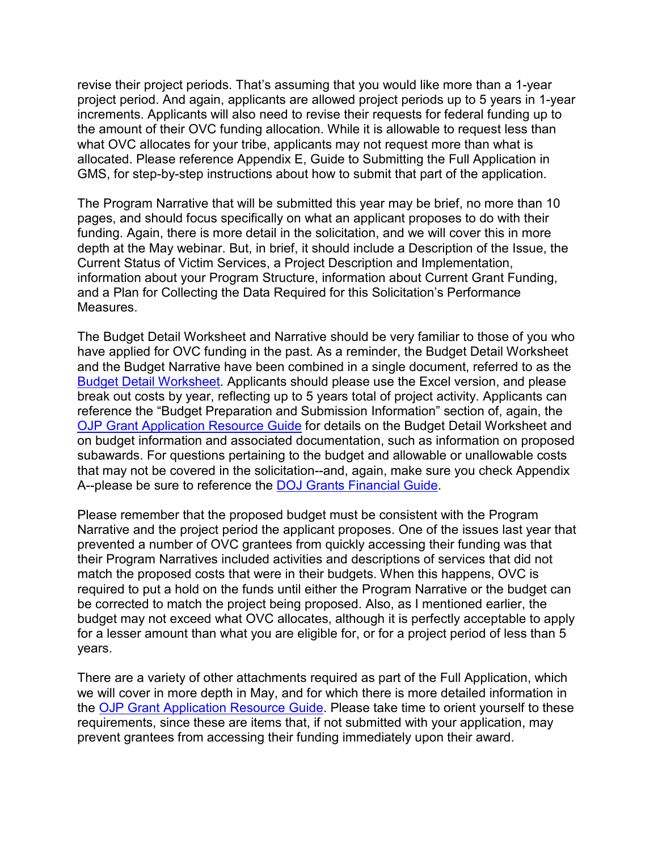revise their project periods. That's assuming that you would like more than a 1-year increments. Applicants will also need to revise their requests for federal funding up to the amount of their OVC funding allocation. While it is allowable to request less than GMS, for step-by-step instructions about how to submit that part of the application. project period. And again, applicants are allowed project periods up to 5 years in 1-year what OVC allocates for your tribe, applicants may not request more than what is allocated. Please reference Appendix E, Guide to Submitting the Full Application in

 depth at the May webinar. But, in brief, it should include a Description of the Issue, the Current Status of Victim Services, a Project Description and Implementation, The Program Narrative that will be submitted this year may be brief, no more than 10 pages, and should focus specifically on what an applicant proposes to do with their funding. Again, there is more detail in the solicitation, and we will cover this in more information about your Program Structure, information about Current Grant Funding, and a Plan for Collecting the Data Required for this Solicitation's Performance Measures.

 have applied for OVC funding in the past. As a reminder, the Budget Detail Worksheet [OJP Grant Application Resource Guide](https://www.ojp.gov/funding/Apply/Resources/Grant-App-Resource-Guide.htm) for details on the Budget Detail Worksheet and A--please be sure to reference the **DOJ Grants Financial Guide**. The Budget Detail Worksheet and Narrative should be very familiar to those of you who and the Budget Narrative have been combined in a single document, referred to as the [Budget Detail Worksheet.](https://ojp.gov/funding/Apply/Forms/BudgetDetailWorksheet.htm) Applicants should please use the Excel version, and please break out costs by year, reflecting up to 5 years total of project activity. Applicants can reference the "Budget Preparation and Submission Information" section of, again, the on budget information and associated documentation, such as information on proposed subawards. For questions pertaining to the budget and allowable or unallowable costs that may not be covered in the solicitation--and, again, make sure you check Appendix

A--please be sure to reference the <u>DOJ Grants Financial Guide</u>.<br>Please remember that the proposed budget must be consistent with the Program years. Narrative and the project period the applicant proposes. One of the issues last year that prevented a number of OVC grantees from quickly accessing their funding was that their Program Narratives included activities and descriptions of services that did not match the proposed costs that were in their budgets. When this happens, OVC is required to put a hold on the funds until either the Program Narrative or the budget can be corrected to match the project being proposed. Also, as I mentioned earlier, the budget may not exceed what OVC allocates, although it is perfectly acceptable to apply for a lesser amount than what you are eligible for, or for a project period of less than 5

years.<br>There are a variety of other attachments required as part of the Full Application, which prevent grantees from accessing their funding immediately upon their award. we will cover in more depth in May, and for which there is more detailed information in the [OJP Grant Application Resource Guide.](https://www.ojp.gov/funding/Apply/Resources/Grant-App-Resource-Guide.htm) Please take time to orient yourself to these requirements, since these are items that, if not submitted with your application, may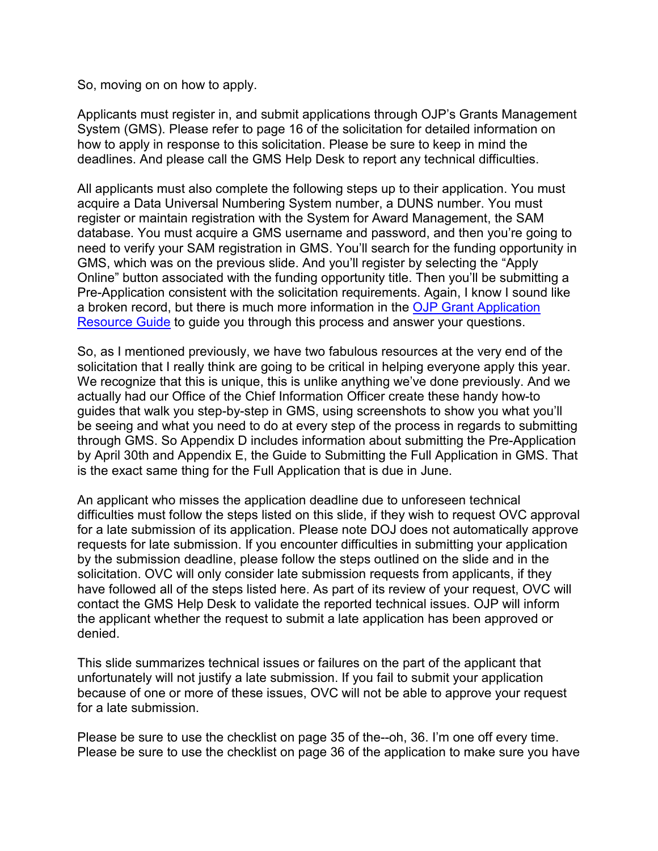So, moving on on how to apply.

deadlines. And please call the GMS Help Desk to report any technical difficulties. Applicants must register in, and submit applications through OJP's Grants Management System (GMS). Please refer to page 16 of the solicitation for detailed information on how to apply in response to this solicitation. Please be sure to keep in mind the

 acquire a Data Universal Numbering System number, a DUNS number. You must Resource Guide to guide you through this process and answer your questions. All applicants must also complete the following steps up to their application. You must register or maintain registration with the System for Award Management, the SAM database. You must acquire a GMS username and password, and then you're going to need to verify your SAM registration in GMS. You'll search for the funding opportunity in GMS, which was on the previous slide. And you'll register by selecting the "Apply Online" button associated with the funding opportunity title. Then you'll be submitting a Pre-Application consistent with the solicitation requirements. Again, I know I sound like a broken record, but there is much more information in the [OJP Grant Application](https://www.ojp.gov/funding/Apply/Resources/Grant-App-Resource-Guide.htm) 

<u>Resource Guide</u> to guide you through this process and answer your questions.<br>So, as I mentioned previously, we have two fabulous resources at the very end of the actually had our Office of the Chief Information Officer create these handy how-to is the exact same thing for the Full Application that is due in June. solicitation that I really think are going to be critical in helping everyone apply this year. We recognize that this is unique, this is unlike anything we've done previously. And we guides that walk you step-by-step in GMS, using screenshots to show you what you'll be seeing and what you need to do at every step of the process in regards to submitting through GMS. So Appendix D includes information about submitting the Pre-Application by April 30th and Appendix E, the Guide to Submitting the Full Application in GMS. That

 difficulties must follow the steps listed on this slide, if they wish to request OVC approval by the submission deadline, please follow the steps outlined on the slide and in the denied. An applicant who misses the application deadline due to unforeseen technical for a late submission of its application. Please note DOJ does not automatically approve requests for late submission. If you encounter difficulties in submitting your application solicitation. OVC will only consider late submission requests from applicants, if they have followed all of the steps listed here. As part of its review of your request, OVC will contact the GMS Help Desk to validate the reported technical issues. OJP will inform the applicant whether the request to submit a late application has been approved or

denied.<br>This slide summarizes technical issues or failures on the part of the applicant that unfortunately will not justify a late submission. If you fail to submit your application because of one or more of these issues, OVC will not be able to approve your request for a late submission.

 Please be sure to use the checklist on page 36 of the application to make sure you have Please be sure to use the checklist on page 35 of the--oh, 36. I'm one off every time.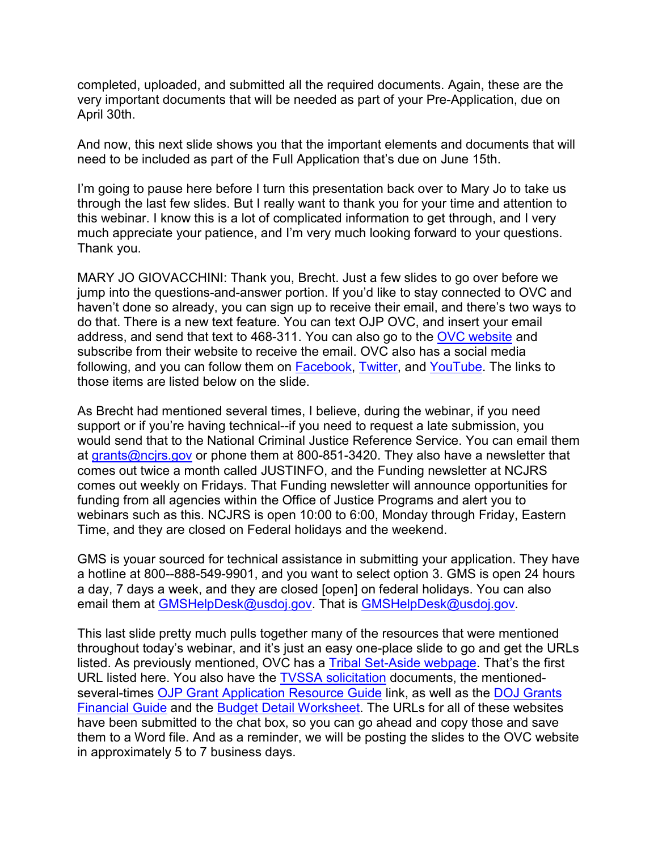April 30th. completed, uploaded, and submitted all the required documents. Again, these are the very important documents that will be needed as part of your Pre-Application, due on

And now, this next slide shows you that the important elements and documents that will need to be included as part of the Full Application that's due on June 15th.

 much appreciate your patience, and I'm very much looking forward to your questions. I'm going to pause here before I turn this presentation back over to Mary Jo to take us through the last few slides. But I really want to thank you for your time and attention to this webinar. I know this is a lot of complicated information to get through, and I very Thank you.

 jump into the questions-and-answer portion. If you'd like to stay connected to OVC and following, and you can follow them on <u>Facebook, Twitter</u>, and <u>YouTube</u>. The links to MARY JO GIOVACCHINI: Thank you, Brecht. Just a few slides to go over before we haven't done so already, you can sign up to receive their email, and there's two ways to do that. There is a new text feature. You can text OJP OVC, and insert your email address, and send that text to 468-311. You can also go to the [OVC website](https://www.ovc.gov/) and subscribe from their website to receive the email. OVC also has a social media those items are listed below on the slide.

 comes out weekly on Fridays. That Funding newsletter will announce opportunities for funding from all agencies within the Office of Justice Programs and alert you to Time, and they are closed on Federal holidays and the weekend. As Brecht had mentioned several times, I believe, during the webinar, if you need support or if you're having technical--if you need to request a late submission, you would send that to the National Criminal Justice Reference Service. You can email them at [grants@ncjrs.gov](mailto:grants@ncjrs.gov) or phone them at 800-851-3420. They also have a newsletter that comes out twice a month called JUSTINFO, and the Funding newsletter at NCJRS webinars such as this. NCJRS is open 10:00 to 6:00, Monday through Friday, Eastern

 a day, 7 days a week, and they are closed [open] on federal holidays. You can also GMS is youar sourced for technical assistance in submitting your application. They have a hotline at 800--888-549-9901, and you want to select option 3. GMS is open 24 hours email them at [GMSHelpDesk@usdoj.gov.](mailto:GMSHelpDesk@usdoj.gov) That is GMSHelpDesk@usdoj.gov.

 This last slide pretty much pulls together many of the resources that were mentioned listed. As previously mentioned, OVC has a <u>Tribal Set-Aside webpage</u>. That's the first [Financial Guide](https://ojp.gov/financialguide/DOJ/index.htm) and the [Budget Detail Worksheet.](https://ojp.gov/funding/Apply/Forms/BudgetDetailWorksheet.htm) The URLs for all of these websites throughout today's webinar, and it's just an easy one-place slide to go and get the URLs URL listed here. You also have the [TVSSA solicitation](https://www.ovc.gov/grants/pdftxt/FY20-Tribal-VSSA-Soliciation.pdf) documents, the mentioned-several-times [OJP Grant Application Resource Guide](https://www.ojp.gov/funding/Apply/Resources/Grant-App-Resource-Guide.htm) link, as well as the DOJ Grants have been submitted to the chat box, so you can go ahead and copy those and save them to a Word file. And as a reminder, we will be posting the slides to the OVC website in approximately 5 to 7 business days.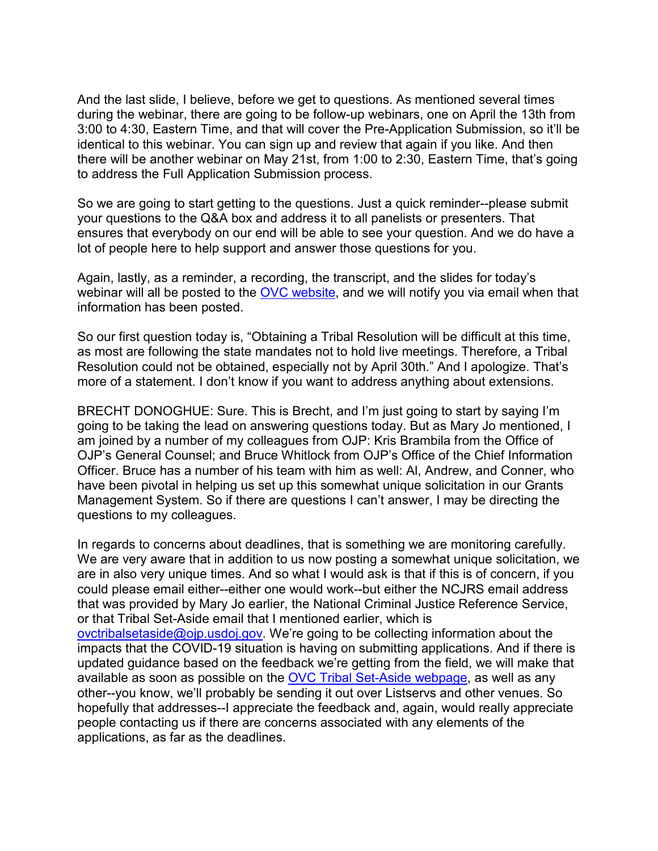And the last slide, I believe, before we get to questions. As mentioned several times to address the Full Application Submission process. during the webinar, there are going to be follow-up webinars, one on April the 13th from 3:00 to 4:30, Eastern Time, and that will cover the Pre-Application Submission, so it'll be identical to this webinar. You can sign up and review that again if you like. And then there will be another webinar on May 21st, from 1:00 to 2:30, Eastern Time, that's going

 your questions to the Q&A box and address it to all panelists or presenters. That lot of people here to help support and answer those questions for you. So we are going to start getting to the guestions. Just a quick reminder--please submit ensures that everybody on our end will be able to see your question. And we do have a

information has been posted. Again, lastly, as a reminder, a recording, the transcript, and the slides for today's webinar will all be posted to the [OVC website,](https://www.ovc.gov/) and we will notify you via email when that

information has been posted.<br>So our first question today is, "Obtaining a Tribal Resolution will be difficult at this time, as most are following the state mandates not to hold live meetings. Therefore, a Tribal Resolution could not be obtained, especially not by April 30th." And I apologize. That's more of a statement. I don't know if you want to address anything about extensions.

 OJP's General Counsel; and Bruce Whitlock from OJP's Office of the Chief Information Officer. Bruce has a number of his team with him as well: Al, Andrew, and Conner, who have been pivotal in helping us set up this somewhat unique solicitation in our Grants BRECHT DONOGHUE: Sure. This is Brecht, and I'm just going to start by saying I'm going to be taking the lead on answering questions today. But as Mary Jo mentioned, I am joined by a number of my colleagues from OJP: Kris Brambila from the Office of Management System. So if there are questions I can't answer, I may be directing the questions to my colleagues.

 other--you know, we'll probably be sending it out over Listservs and other venues. So In regards to concerns about deadlines, that is something we are monitoring carefully. We are very aware that in addition to us now posting a somewhat unique solicitation, we are in also very unique times. And so what I would ask is that if this is of concern, if you could please email either--either one would work--but either the NCJRS email address that was provided by Mary Jo earlier, the National Criminal Justice Reference Service, or that Tribal Set-Aside email that I mentioned earlier, which is [ovctribalsetaside@ojp.usdoj.gov.](mailto:ovctribalsetaside@ojp.usdoj.gov) We're going to be collecting information about the impacts that the COVID-19 situation is having on submitting applications. And if there is updated guidance based on the feedback we're getting from the field, we will make that available as soon as possible on the [OVC Tribal Set-Aside webpage,](https://www.ovc.gov/news/tribal-set-aside.html) as well as any hopefully that addresses--I appreciate the feedback and, again, would really appreciate people contacting us if there are concerns associated with any elements of the applications, as far as the deadlines.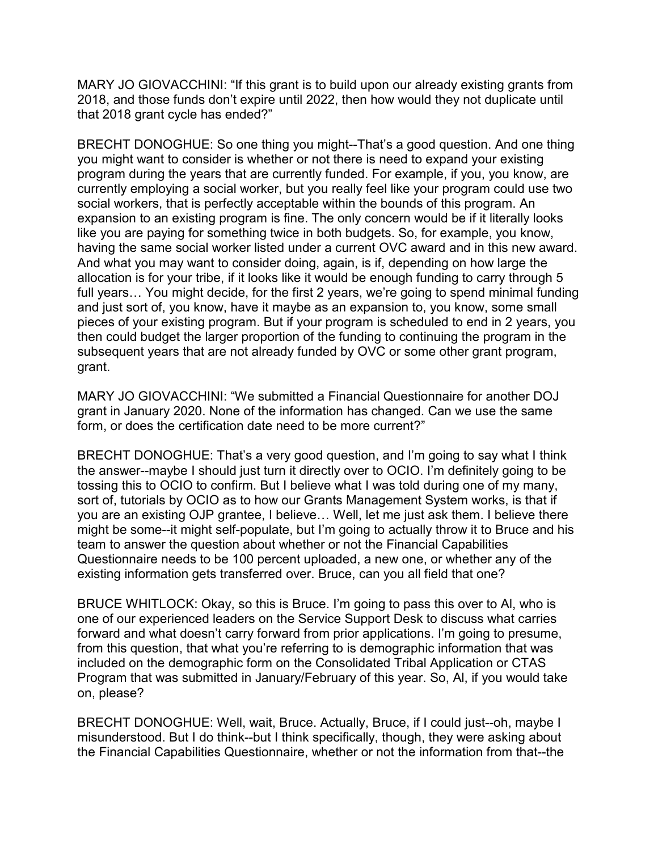2018, and those funds don't expire until 2022, then how would they not duplicate until MARY JO GIOVACCHINI: "If this grant is to build upon our already existing grants from that 2018 grant cycle has ended?"

 you might want to consider is whether or not there is need to expand your existing social workers, that is perfectly acceptable within the bounds of this program. An expansion to an existing program is fine. The only concern would be if it literally looks full years… You might decide, for the first 2 years, we're going to spend minimal funding then could budget the larger proportion of the funding to continuing the program in the BRECHT DONOGHUE: So one thing you might--That's a good question. And one thing program during the years that are currently funded. For example, if you, you know, are currently employing a social worker, but you really feel like your program could use two like you are paying for something twice in both budgets. So, for example, you know, having the same social worker listed under a current OVC award and in this new award. And what you may want to consider doing, again, is if, depending on how large the allocation is for your tribe, if it looks like it would be enough funding to carry through 5 and just sort of, you know, have it maybe as an expansion to, you know, some small pieces of your existing program. But if your program is scheduled to end in 2 years, you subsequent years that are not already funded by OVC or some other grant program, grant.

 MARY JO GIOVACCHINI: "We submitted a Financial Questionnaire for another DOJ grant in January 2020. None of the information has changed. Can we use the same form, or does the certification date need to be more current?"

 tossing this to OCIO to confirm. But I believe what I was told during one of my many, might be some--it might self-populate, but I'm going to actually throw it to Bruce and his Questionnaire needs to be 100 percent uploaded, a new one, or whether any of the BRECHT DONOGHUE: That's a very good question, and I'm going to say what I think the answer--maybe I should just turn it directly over to OCIO. I'm definitely going to be sort of, tutorials by OCIO as to how our Grants Management System works, is that if you are an existing OJP grantee, I believe… Well, let me just ask them. I believe there team to answer the question about whether or not the Financial Capabilities existing information gets transferred over. Bruce, can you all field that one?

 forward and what doesn't carry forward from prior applications. I'm going to presume, BRUCE WHITLOCK: Okay, so this is Bruce. I'm going to pass this over to Al, who is one of our experienced leaders on the Service Support Desk to discuss what carries from this question, that what you're referring to is demographic information that was included on the demographic form on the Consolidated Tribal Application or CTAS Program that was submitted in January/February of this year. So, Al, if you would take on, please?

BRECHT DONOGHUE: Well, wait, Bruce. Actually, Bruce, if I could just--oh, maybe I misunderstood. But I do think--but I think specifically, though, they were asking about the Financial Capabilities Questionnaire, whether or not the information from that--the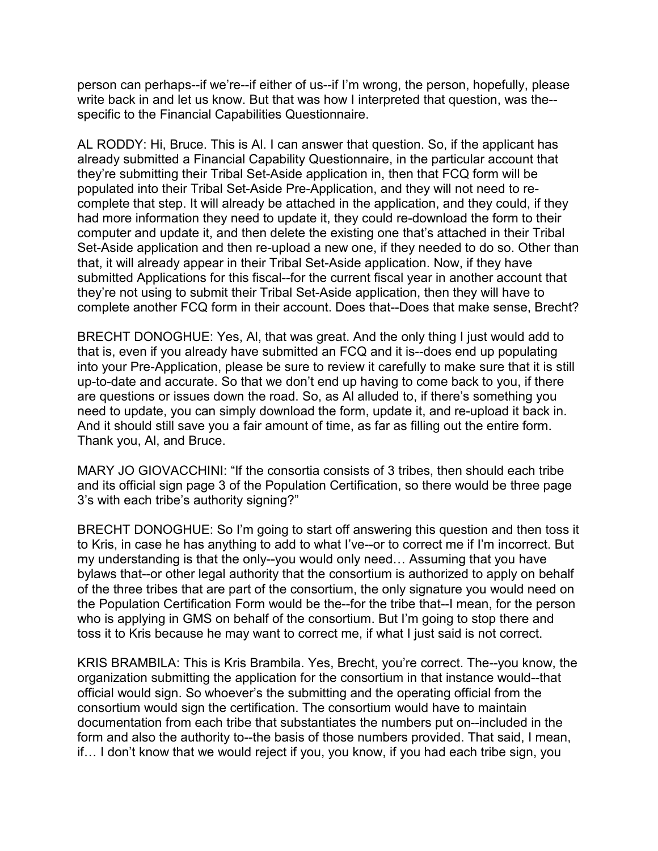person can perhaps--if we're--if either of us--if I'm wrong, the person, hopefully, please write back in and let us know. But that was how I interpreted that question, was the- specific to the Financial Capabilities Questionnaire.

 already submitted a Financial Capability Questionnaire, in the particular account that complete that step. It will already be attached in the application, and they could, if they had more information they need to update it, they could re-download the form to their submitted Applications for this fiscal--for the current fiscal year in another account that complete another FCQ form in their account. Does that--Does that make sense, Brecht? AL RODDY: Hi, Bruce. This is Al. I can answer that question. So, if the applicant has they're submitting their Tribal Set-Aside application in, then that FCQ form will be populated into their Tribal Set-Aside Pre-Application, and they will not need to recomputer and update it, and then delete the existing one that's attached in their Tribal Set-Aside application and then re-upload a new one, if they needed to do so. Other than that, it will already appear in their Tribal Set-Aside application. Now, if they have they're not using to submit their Tribal Set-Aside application, then they will have to

 that is, even if you already have submitted an FCQ and it is--does end up populating need to update, you can simply download the form, update it, and re-upload it back in. And it should still save you a fair amount of time, as far as filling out the entire form. Thank you, Al, and Bruce. BRECHT DONOGHUE: Yes, Al, that was great. And the only thing I just would add to into your Pre-Application, please be sure to review it carefully to make sure that it is still up-to-date and accurate. So that we don't end up having to come back to you, if there are questions or issues down the road. So, as Al alluded to, if there's something you

 3's with each tribe's authority signing?" MARY JO GIOVACCHINI: "If the consortia consists of 3 tribes, then should each tribe and its official sign page 3 of the Population Certification, so there would be three page

 of the three tribes that are part of the consortium, the only signature you would need on BRECHT DONOGHUE: So I'm going to start off answering this question and then toss it to Kris, in case he has anything to add to what I've--or to correct me if I'm incorrect. But my understanding is that the only--you would only need… Assuming that you have bylaws that--or other legal authority that the consortium is authorized to apply on behalf the Population Certification Form would be the--for the tribe that--I mean, for the person who is applying in GMS on behalf of the consortium. But I'm going to stop there and toss it to Kris because he may want to correct me, if what I just said is not correct.

 form and also the authority to--the basis of those numbers provided. That said, I mean, KRIS BRAMBILA: This is Kris Brambila. Yes, Brecht, you're correct. The--you know, the organization submitting the application for the consortium in that instance would--that official would sign. So whoever's the submitting and the operating official from the consortium would sign the certification. The consortium would have to maintain documentation from each tribe that substantiates the numbers put on--included in the if… I don't know that we would reject if you, you know, if you had each tribe sign, you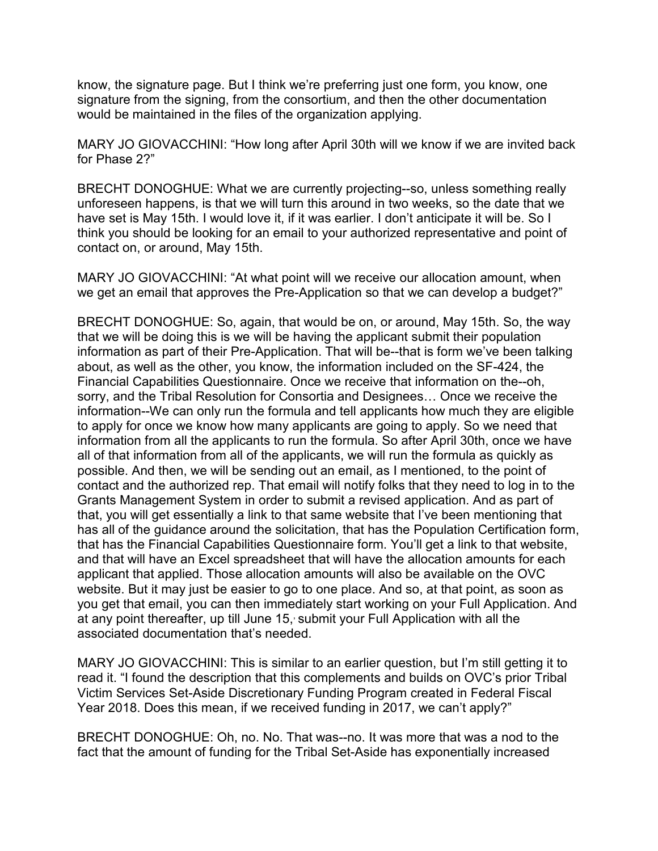know, the signature page. But I think we're preferring just one form, you know, one signature from the signing, from the consortium, and then the other documentation would be maintained in the files of the organization applying.

 MARY JO GIOVACCHINI: "How long after April 30th will we know if we are invited back for Phase 2?"

 contact on, or around, May 15th. BRECHT DONOGHUE: What we are currently projecting--so, unless something really unforeseen happens, is that we will turn this around in two weeks, so the date that we have set is May 15th. I would love it, if it was earlier. I don't anticipate it will be. So I think you should be looking for an email to your authorized representative and point of

MARY JO GIOVACCHINI: "At what point will we receive our allocation amount, when we get an email that approves the Pre-Application so that we can develop a budget?"

 BRECHT DONOGHUE: So, again, that would be on, or around, May 15th. So, the way information as part of their Pre-Application. That will be--that is form we've been talking possible. And then, we will be sending out an email, as I mentioned, to the point of contact and the authorized rep. That email will notify folks that they need to log in to the and that will have an Excel spreadsheet that will have the allocation amounts for each applicant that applied. Those allocation amounts will also be available on the OVC website. But it may just be easier to go to one place. And so, at that point, as soon as associated documentation that's needed. that we will be doing this is we will be having the applicant submit their population about, as well as the other, you know, the information included on the SF-424, the Financial Capabilities Questionnaire. Once we receive that information on the--oh, sorry, and the Tribal Resolution for Consortia and Designees… Once we receive the information--We can only run the formula and tell applicants how much they are eligible to apply for once we know how many applicants are going to apply. So we need that information from all the applicants to run the formula. So after April 30th, once we have all of that information from all of the applicants, we will run the formula as quickly as Grants Management System in order to submit a revised application. And as part of that, you will get essentially a link to that same website that I've been mentioning that has all of the guidance around the solicitation, that has the Population Certification form, that has the Financial Capabilities Questionnaire form. You'll get a link to that website, you get that email, you can then immediately start working on your Full Application. And at any point thereafter, up till June 15, submit your Full Application with all the

 MARY JO GIOVACCHINI: This is similar to an earlier question, but I'm still getting it to read it. "I found the description that this complements and builds on OVC's prior Tribal Victim Services Set-Aside Discretionary Funding Program created in Federal Fiscal Year 2018. Does this mean, if we received funding in 2017, we can't apply?"

 fact that the amount of funding for the Tribal Set-Aside has exponentially increased BRECHT DONOGHUE: Oh, no. No. That was--no. It was more that was a nod to the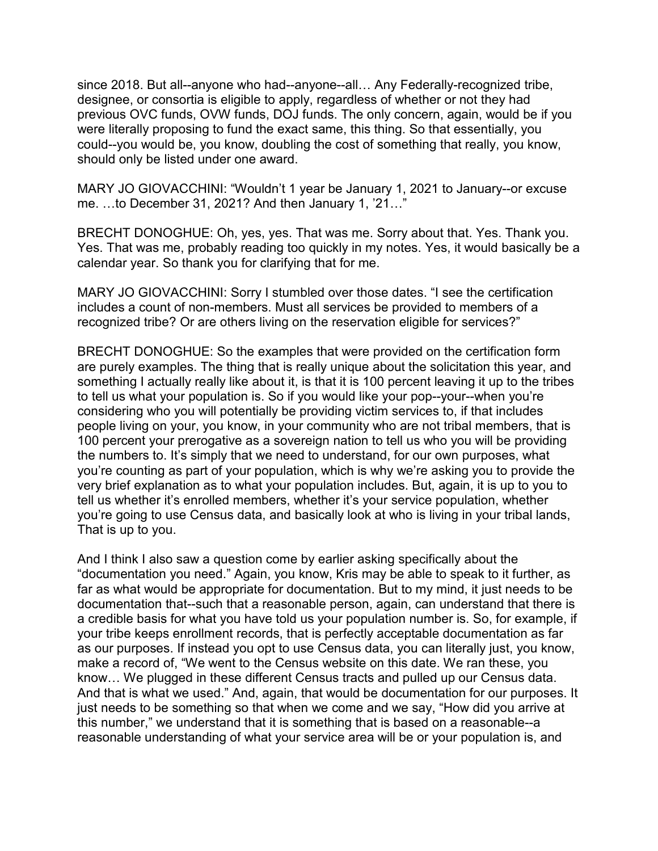could--you would be, you know, doubling the cost of something that really, you know, since 2018. But all--anyone who had--anyone--all… Any Federally-recognized tribe, designee, or consortia is eligible to apply, regardless of whether or not they had previous OVC funds, OVW funds, DOJ funds. The only concern, again, would be if you were literally proposing to fund the exact same, this thing. So that essentially, you should only be listed under one award.

MARY JO GIOVACCHINI: "Wouldn't 1 year be January 1, 2021 to January--or excuse me. …to December 31, 2021? And then January 1, '21…"

BRECHT DONOGHUE: Oh, yes, yes. That was me. Sorry about that. Yes. Thank you. Yes. That was me, probably reading too quickly in my notes. Yes, it would basically be a calendar year. So thank you for clarifying that for me.

MARY JO GIOVACCHINI: Sorry I stumbled over those dates. "I see the certification includes a count of non-members. Must all services be provided to members of a recognized tribe? Or are others living on the reservation eligible for services?"

 something I actually really like about it, is that it is 100 percent leaving it up to the tribes 100 percent your prerogative as a sovereign nation to tell us who you will be providing BRECHT DONOGHUE: So the examples that were provided on the certification form are purely examples. The thing that is really unique about the solicitation this year, and to tell us what your population is. So if you would like your pop--your--when you're considering who you will potentially be providing victim services to, if that includes people living on your, you know, in your community who are not tribal members, that is the numbers to. It's simply that we need to understand, for our own purposes, what you're counting as part of your population, which is why we're asking you to provide the very brief explanation as to what your population includes. But, again, it is up to you to tell us whether it's enrolled members, whether it's your service population, whether you're going to use Census data, and basically look at who is living in your tribal lands, That is up to you.

 your tribe keeps enrollment records, that is perfectly acceptable documentation as far know… We plugged in these different Census tracts and pulled up our Census data. And that is what we used." And, again, that would be documentation for our purposes. It And I think I also saw a question come by earlier asking specifically about the "documentation you need." Again, you know, Kris may be able to speak to it further, as far as what would be appropriate for documentation. But to my mind, it just needs to be documentation that--such that a reasonable person, again, can understand that there is a credible basis for what you have told us your population number is. So, for example, if as our purposes. If instead you opt to use Census data, you can literally just, you know, make a record of, "We went to the Census website on this date. We ran these, you just needs to be something so that when we come and we say, "How did you arrive at this number," we understand that it is something that is based on a reasonable--a reasonable understanding of what your service area will be or your population is, and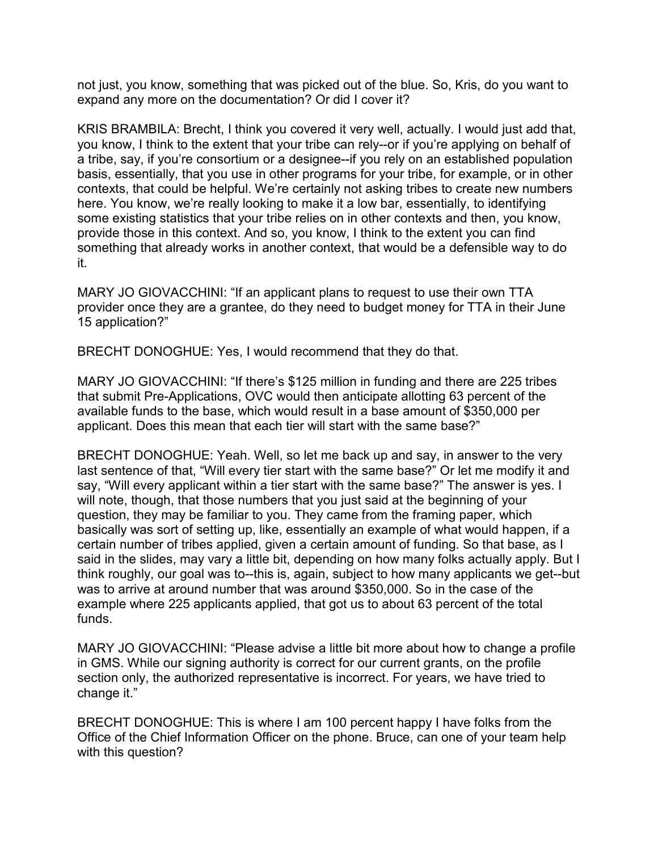not just, you know, something that was picked out of the blue. So, Kris, do you want to expand any more on the documentation? Or did I cover it?

 KRIS BRAMBILA: Brecht, I think you covered it very well, actually. I would just add that, basis, essentially, that you use in other programs for your tribe, for example, or in other you know, I think to the extent that your tribe can rely--or if you're applying on behalf of a tribe, say, if you're consortium or a designee--if you rely on an established population contexts, that could be helpful. We're certainly not asking tribes to create new numbers here. You know, we're really looking to make it a low bar, essentially, to identifying some existing statistics that your tribe relies on in other contexts and then, you know, provide those in this context. And so, you know, I think to the extent you can find something that already works in another context, that would be a defensible way to do it.

MARY JO GIOVACCHINI: "If an applicant plans to request to use their own TTA provider once they are a grantee, do they need to budget money for TTA in their June 15 application?"

BRECHT DONOGHUE: Yes, I would recommend that they do that.

 that submit Pre-Applications, OVC would then anticipate allotting 63 percent of the MARY JO GIOVACCHINI: "If there's \$125 million in funding and there are 225 tribes available funds to the base, which would result in a base amount of \$350,000 per applicant. Does this mean that each tier will start with the same base?"

 question, they may be familiar to you. They came from the framing paper, which certain number of tribes applied, given a certain amount of funding. So that base, as I said in the slides, may vary a little bit, depending on how many folks actually apply. But I example where 225 applicants applied, that got us to about 63 percent of the total BRECHT DONOGHUE: Yeah. Well, so let me back up and say, in answer to the very last sentence of that, "Will every tier start with the same base?" Or let me modify it and say, "Will every applicant within a tier start with the same base?" The answer is yes. I will note, though, that those numbers that you just said at the beginning of your basically was sort of setting up, like, essentially an example of what would happen, if a think roughly, our goal was to--this is, again, subject to how many applicants we get--but was to arrive at around number that was around \$350,000. So in the case of the funds.

MARY JO GIOVACCHINI: "Please advise a little bit more about how to change a profile in GMS. While our signing authority is correct for our current grants, on the profile section only, the authorized representative is incorrect. For years, we have tried to change it."

 BRECHT DONOGHUE: This is where I am 100 percent happy I have folks from the Office of the Chief Information Officer on the phone. Bruce, can one of your team help with this question?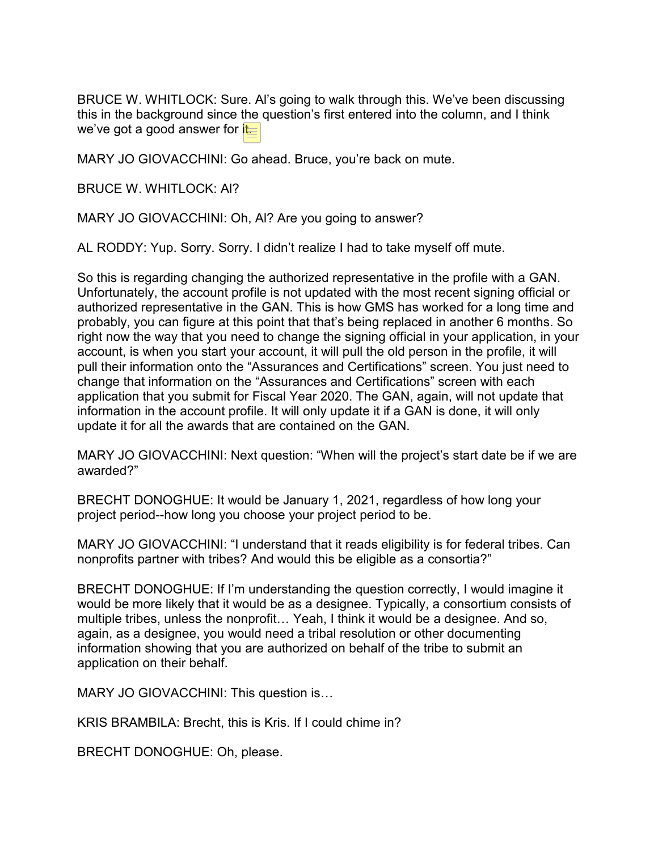this in the background since the question's first entered into the column, and I think we've got a good answer for i<mark>t.</mark> BRUCE W. WHITLOCK: Sure. Al's going to walk through this. We've been discussing

MARY JO GIOVACCHINI: Go ahead. Bruce, you're back on mute.

BRUCE W. WHITLOCK: Al?

MARY JO GIOVACCHINI: Oh, Al? Are you going to answer?

AL RODDY: Yup. Sorry. Sorry. I didn't realize I had to take myself off mute.

 authorized representative in the GAN. This is how GMS has worked for a long time and probably, you can figure at this point that that's being replaced in another 6 months. So application that you submit for Fiscal Year 2020. The GAN, again, will not update that information in the account profile. It will only update it if a GAN is done, it will only So this is regarding changing the authorized representative in the profile with a GAN. Unfortunately, the account profile is not updated with the most recent signing official or right now the way that you need to change the signing official in your application, in your account, is when you start your account, it will pull the old person in the profile, it will pull their information onto the "Assurances and Certifications" screen. You just need to change that information on the "Assurances and Certifications" screen with each update it for all the awards that are contained on the GAN.

MARY JO GIOVACCHINI: Next question: "When will the project's start date be if we are awarded?"

BRECHT DONOGHUE: It would be January 1, 2021, regardless of how long your project period--how long you choose your project period to be.

MARY JO GIOVACCHINI: "I understand that it reads eligibility is for federal tribes. Can nonprofits partner with tribes? And would this be eligible as a consortia?"

 BRECHT DONOGHUE: If I'm understanding the question correctly, I would imagine it would be more likely that it would be as a designee. Typically, a consortium consists of multiple tribes, unless the nonprofit… Yeah, I think it would be a designee. And so, again, as a designee, you would need a tribal resolution or other documenting information showing that you are authorized on behalf of the tribe to submit an application on their behalf.

MARY JO GIOVACCHINI: This question is…

KRIS BRAMBILA: Brecht, this is Kris. If I could chime in?

BRECHT DONOGHUE: Oh, please.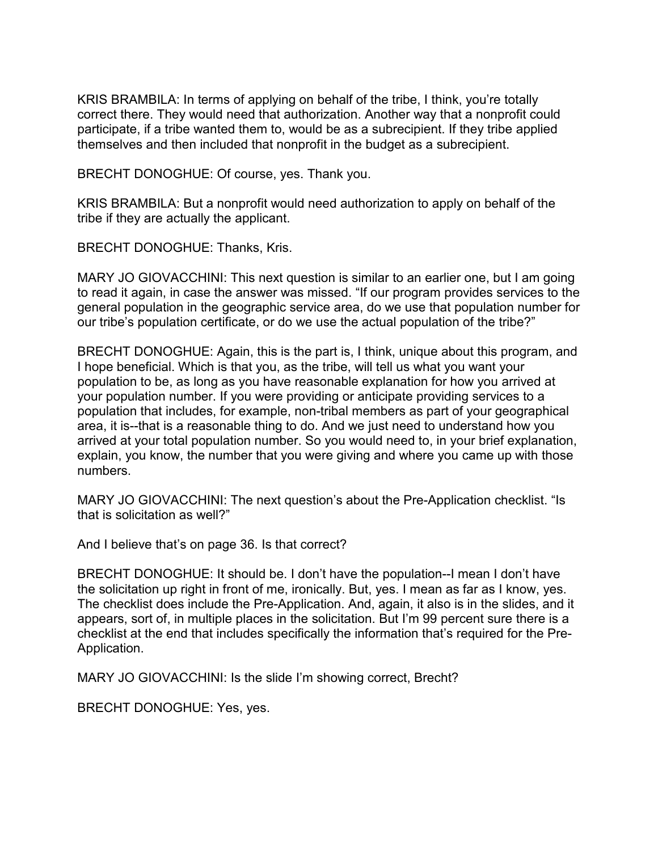KRIS BRAMBILA: In terms of applying on behalf of the tribe, I think, you're totally correct there. They would need that authorization. Another way that a nonprofit could participate, if a tribe wanted them to, would be as a subrecipient. If they tribe applied themselves and then included that nonprofit in the budget as a subrecipient.

BRECHT DONOGHUE: Of course, yes. Thank you.

 KRIS BRAMBILA: But a nonprofit would need authorization to apply on behalf of the tribe if they are actually the applicant.

BRECHT DONOGHUE: Thanks, Kris.

 MARY JO GIOVACCHINI: This next question is similar to an earlier one, but I am going to read it again, in case the answer was missed. "If our program provides services to the general population in the geographic service area, do we use that population number for our tribe's population certificate, or do we use the actual population of the tribe?"

 population to be, as long as you have reasonable explanation for how you arrived at population that includes, for example, non-tribal members as part of your geographical BRECHT DONOGHUE: Again, this is the part is, I think, unique about this program, and I hope beneficial. Which is that you, as the tribe, will tell us what you want your your population number. If you were providing or anticipate providing services to a area, it is--that is a reasonable thing to do. And we just need to understand how you arrived at your total population number. So you would need to, in your brief explanation, explain, you know, the number that you were giving and where you came up with those numbers.

 MARY JO GIOVACCHINI: The next question's about the Pre-Application checklist. "Is that is solicitation as well?"

And I believe that's on page 36. Is that correct?

 BRECHT DONOGHUE: It should be. I don't have the population--I mean I don't have the solicitation up right in front of me, ironically. But, yes. I mean as far as I know, yes. The checklist does include the Pre-Application. And, again, it also is in the slides, and it appears, sort of, in multiple places in the solicitation. But I'm 99 percent sure there is a checklist at the end that includes specifically the information that's required for the Pre-Application.

MARY JO GIOVACCHINI: Is the slide I'm showing correct, Brecht?

BRECHT DONOGHUE: Yes, yes.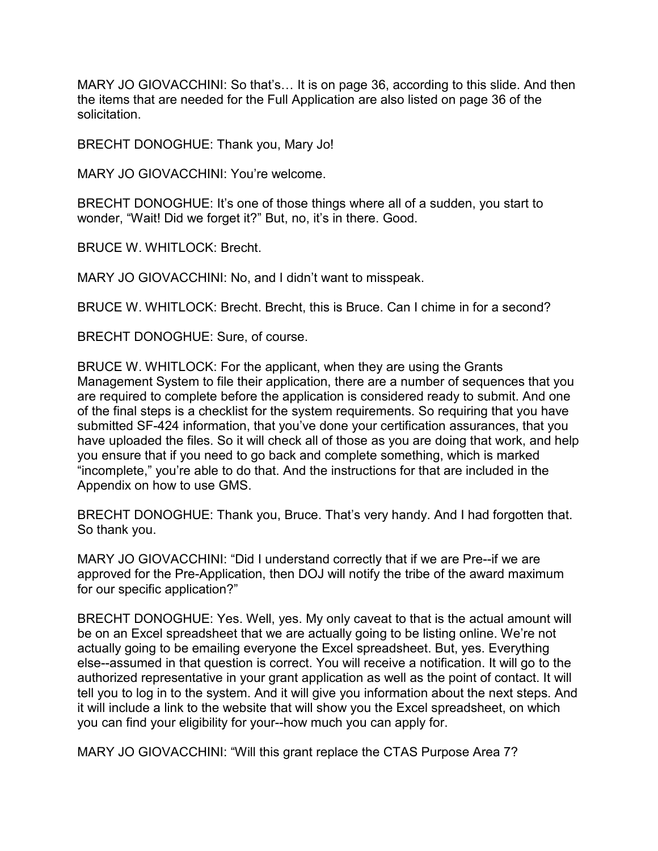MARY JO GIOVACCHINI: So that's… It is on page 36, according to this slide. And then the items that are needed for the Full Application are also listed on page 36 of the solicitation.

BRECHT DONOGHUE: Thank you, Mary Jo!

MARY JO GIOVACCHINI: You're welcome.

 BRECHT DONOGHUE: It's one of those things where all of a sudden, you start to wonder, "Wait! Did we forget it?" But, no, it's in there. Good.

BRUCE W. WHITLOCK: Brecht.

MARY JO GIOVACCHINI: No, and I didn't want to misspeak.

BRUCE W. WHITLOCK: Brecht. Brecht, this is Bruce. Can I chime in for a second?

BRECHT DONOGHUE: Sure, of course.

 BRUCE W. WHITLOCK: For the applicant, when they are using the Grants Management System to file their application, there are a number of sequences that you are required to complete before the application is considered ready to submit. And one of the final steps is a checklist for the system requirements. So requiring that you have submitted SF-424 information, that you've done your certification assurances, that you have uploaded the files. So it will check all of those as you are doing that work, and help you ensure that if you need to go back and complete something, which is marked "incomplete," you're able to do that. And the instructions for that are included in the Appendix on how to use GMS.

BRECHT DONOGHUE: Thank you, Bruce. That's very handy. And I had forgotten that. So thank you.

MARY JO GIOVACCHINI: "Did I understand correctly that if we are Pre--if we are approved for the Pre-Application, then DOJ will notify the tribe of the award maximum for our specific application?"

 be on an Excel spreadsheet that we are actually going to be listing online. We're not actually going to be emailing everyone the Excel spreadsheet. But, yes. Everything BRECHT DONOGHUE: Yes. Well, yes. My only caveat to that is the actual amount will else--assumed in that question is correct. You will receive a notification. It will go to the authorized representative in your grant application as well as the point of contact. It will tell you to log in to the system. And it will give you information about the next steps. And it will include a link to the website that will show you the Excel spreadsheet, on which you can find your eligibility for your--how much you can apply for.

MARY JO GIOVACCHINI: "Will this grant replace the CTAS Purpose Area 7?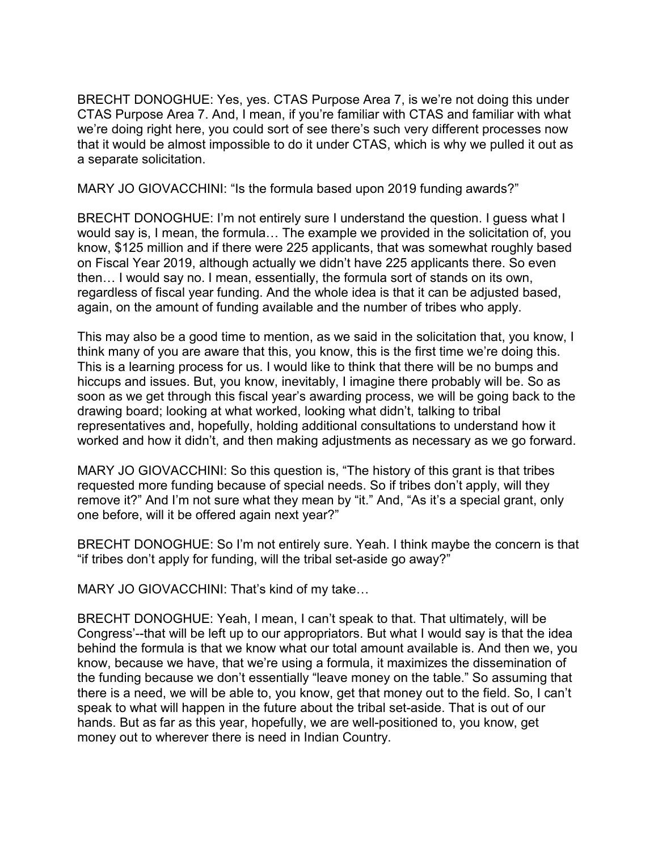that it would be almost impossible to do it under CTAS, which is why we pulled it out as BRECHT DONOGHUE: Yes, yes. CTAS Purpose Area 7, is we're not doing this under CTAS Purpose Area 7. And, I mean, if you're familiar with CTAS and familiar with what we're doing right here, you could sort of see there's such very different processes now a separate solicitation.

MARY JO GIOVACCHINI: "Is the formula based upon 2019 funding awards?"

 know, \$125 million and if there were 225 applicants, that was somewhat roughly based then… I would say no. I mean, essentially, the formula sort of stands on its own, again, on the amount of funding available and the number of tribes who apply. BRECHT DONOGHUE: I'm not entirely sure I understand the question. I guess what I would say is, I mean, the formula… The example we provided in the solicitation of, you on Fiscal Year 2019, although actually we didn't have 225 applicants there. So even regardless of fiscal year funding. And the whole idea is that it can be adjusted based,

This may also be a good time to mention, as we said in the solicitation that, you know, I think many of you are aware that this, you know, this is the first time we're doing this. This is a learning process for us. I would like to think that there will be no bumps and hiccups and issues. But, you know, inevitably, I imagine there probably will be. So as soon as we get through this fiscal year's awarding process, we will be going back to the drawing board; looking at what worked, looking what didn't, talking to tribal representatives and, hopefully, holding additional consultations to understand how it worked and how it didn't, and then making adjustments as necessary as we go forward.

 requested more funding because of special needs. So if tribes don't apply, will they remove it?" And I'm not sure what they mean by "it." And, "As it's a special grant, only MARY JO GIOVACCHINI: So this question is, "The history of this grant is that tribes one before, will it be offered again next year?"

BRECHT DONOGHUE: So I'm not entirely sure. Yeah. I think maybe the concern is that "if tribes don't apply for funding, will the tribal set-aside go away?"

MARY JO GIOVACCHINI: That's kind of my take…

 BRECHT DONOGHUE: Yeah, I mean, I can't speak to that. That ultimately, will be hands. But as far as this year, hopefully, we are well-positioned to, you know, get Congress'--that will be left up to our appropriators. But what I would say is that the idea behind the formula is that we know what our total amount available is. And then we, you know, because we have, that we're using a formula, it maximizes the dissemination of the funding because we don't essentially "leave money on the table." So assuming that there is a need, we will be able to, you know, get that money out to the field. So, I can't speak to what will happen in the future about the tribal set-aside. That is out of our money out to wherever there is need in Indian Country.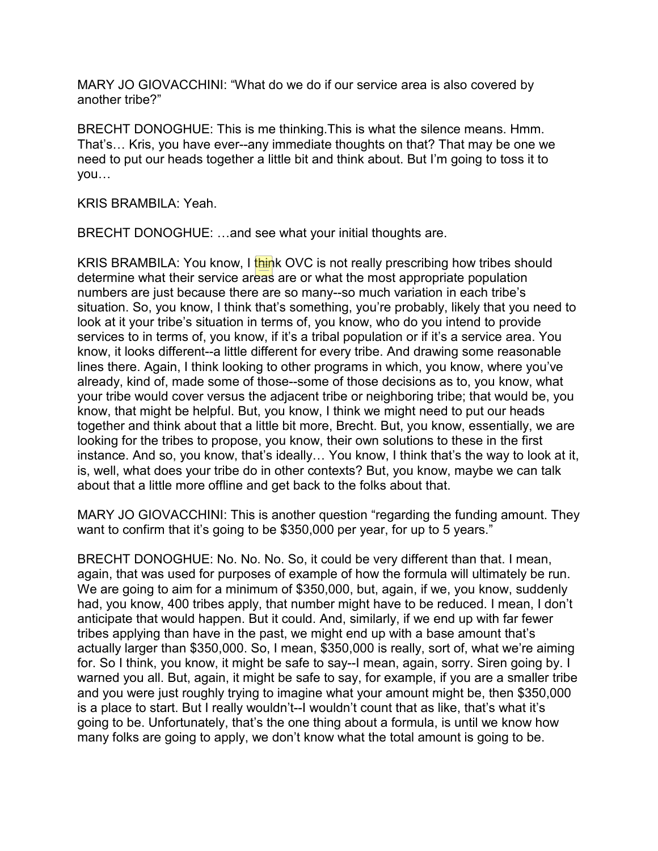MARY JO GIOVACCHINI: "What do we do if our service area is also covered by another tribe?"

 need to put our heads together a little bit and think about. But I'm going to toss it to BRECHT DONOGHUE: This is me thinking.This is what the silence means. Hmm. That's… Kris, you have ever--any immediate thoughts on that? That may be one we you…

KRIS BRAMBILA: Yeah.

BRECHT DONOGHUE: …and see what your initial thoughts are.

 numbers are just because there are so many--so much variation in each tribe's already, kind of, made some of those--some of those decisions as to, you know, what know, that might be helpful. But, you know, I think we might need to put our heads together and think about that a little bit more, Brecht. But, you know, essentially, we are instance. And so, you know, that's ideally… You know, I think that's the way to look at it, about that a little more offline and get back to the folks about that. KRIS BRAMBILA: You know, I think OVC is not really prescribing how tribes should determine what their service areas are or what the most appropriate population situation. So, you know, I think that's something, you're probably, likely that you need to look at it your tribe's situation in terms of, you know, who do you intend to provide services to in terms of, you know, if it's a tribal population or if it's a service area. You know, it looks different--a little different for every tribe. And drawing some reasonable lines there. Again, I think looking to other programs in which, you know, where you've your tribe would cover versus the adjacent tribe or neighboring tribe; that would be, you looking for the tribes to propose, you know, their own solutions to these in the first is, well, what does your tribe do in other contexts? But, you know, maybe we can talk

 MARY JO GIOVACCHINI: This is another question "regarding the funding amount. They want to confirm that it's going to be \$350,000 per year, for up to 5 years."

 anticipate that would happen. But it could. And, similarly, if we end up with far fewer actually larger than \$350,000. So, I mean, \$350,000 is really, sort of, what we're aiming many folks are going to apply, we don't know what the total amount is going to be. BRECHT DONOGHUE: No. No. No. So, it could be very different than that. I mean, again, that was used for purposes of example of how the formula will ultimately be run. We are going to aim for a minimum of \$350,000, but, again, if we, you know, suddenly had, you know, 400 tribes apply, that number might have to be reduced. I mean, I don't tribes applying than have in the past, we might end up with a base amount that's for. So I think, you know, it might be safe to say--I mean, again, sorry. Siren going by. I warned you all. But, again, it might be safe to say, for example, if you are a smaller tribe and you were just roughly trying to imagine what your amount might be, then \$350,000 is a place to start. But I really wouldn't--I wouldn't count that as like, that's what it's going to be. Unfortunately, that's the one thing about a formula, is until we know how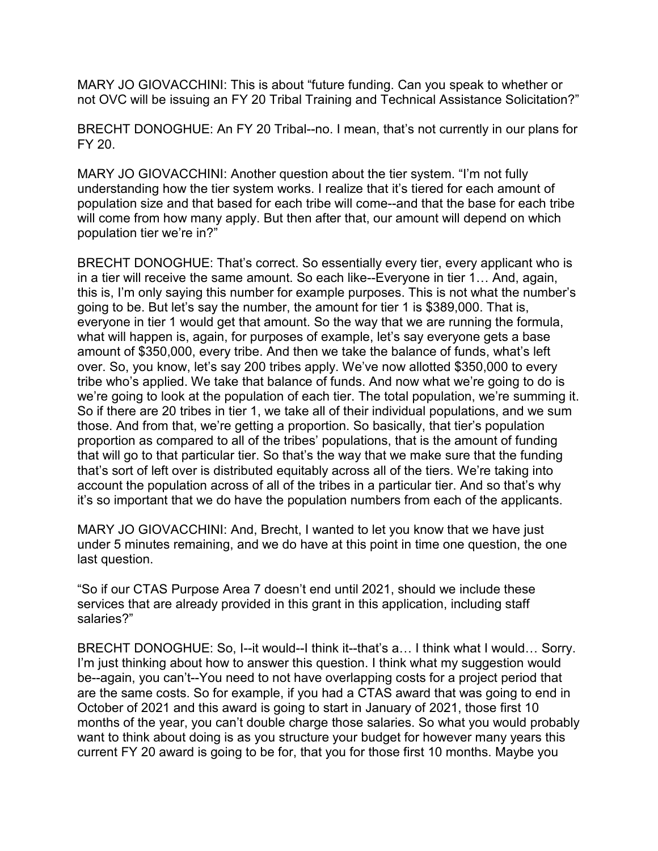MARY JO GIOVACCHINI: This is about "future funding. Can you speak to whether or not OVC will be issuing an FY 20 Tribal Training and Technical Assistance Solicitation?"

 BRECHT DONOGHUE: An FY 20 Tribal--no. I mean, that's not currently in our plans for FY 20.

 MARY JO GIOVACCHINI: Another question about the tier system. "I'm not fully population size and that based for each tribe will come--and that the base for each tribe will come from how many apply. But then after that, our amount will depend on which understanding how the tier system works. I realize that it's tiered for each amount of population tier we're in?"

 this is, I'm only saying this number for example purposes. This is not what the number's going to be. But let's say the number, the amount for tier 1 is \$389,000. That is, amount of \$350,000, every tribe. And then we take the balance of funds, what's left tribe who's applied. We take that balance of funds. And now what we're going to do is proportion as compared to all of the tribes' populations, that is the amount of funding it's so important that we do have the population numbers from each of the applicants. BRECHT DONOGHUE: That's correct. So essentially every tier, every applicant who is in a tier will receive the same amount. So each like--Everyone in tier 1… And, again, everyone in tier 1 would get that amount. So the way that we are running the formula, what will happen is, again, for purposes of example, let's say everyone gets a base over. So, you know, let's say 200 tribes apply. We've now allotted \$350,000 to every we're going to look at the population of each tier. The total population, we're summing it. So if there are 20 tribes in tier 1, we take all of their individual populations, and we sum those. And from that, we're getting a proportion. So basically, that tier's population that will go to that particular tier. So that's the way that we make sure that the funding that's sort of left over is distributed equitably across all of the tiers. We're taking into account the population across of all of the tribes in a particular tier. And so that's why

MARY JO GIOVACCHINI: And, Brecht, I wanted to let you know that we have just under 5 minutes remaining, and we do have at this point in time one question, the one last question.

"So if our CTAS Purpose Area 7 doesn't end until 2021, should we include these services that are already provided in this grant in this application, including staff salaries?"

BRECHT DONOGHUE: So, I--it would--I think it--that's a… I think what I would… Sorry. I'm just thinking about how to answer this question. I think what my suggestion would be--again, you can't--You need to not have overlapping costs for a project period that are the same costs. So for example, if you had a CTAS award that was going to end in October of 2021 and this award is going to start in January of 2021, those first 10 months of the year, you can't double charge those salaries. So what you would probably want to think about doing is as you structure your budget for however many years this current FY 20 award is going to be for, that you for those first 10 months. Maybe you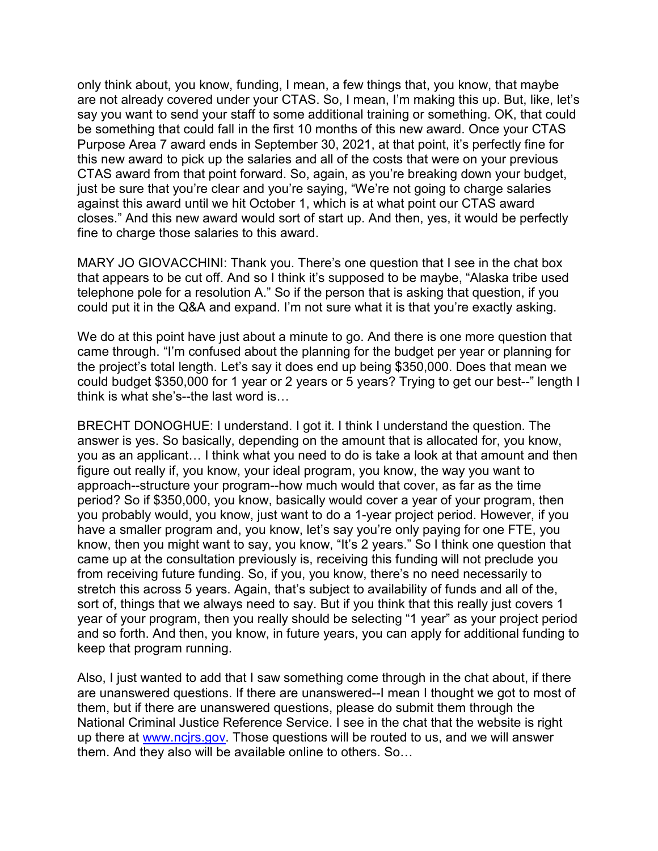only think about, you know, funding, I mean, a few things that, you know, that maybe are not already covered under your CTAS. So, I mean, I'm making this up. But, like, let's Purpose Area 7 award ends in September 30, 2021, at that point, it's perfectly fine for CTAS award from that point forward. So, again, as you're breaking down your budget, say you want to send your staff to some additional training or something. OK, that could be something that could fall in the first 10 months of this new award. Once your CTAS this new award to pick up the salaries and all of the costs that were on your previous just be sure that you're clear and you're saying, "We're not going to charge salaries against this award until we hit October 1, which is at what point our CTAS award closes." And this new award would sort of start up. And then, yes, it would be perfectly fine to charge those salaries to this award.

 MARY JO GIOVACCHINI: Thank you. There's one question that I see in the chat box that appears to be cut off. And so I think it's supposed to be maybe, "Alaska tribe used telephone pole for a resolution A." So if the person that is asking that question, if you could put it in the Q&A and expand. I'm not sure what it is that you're exactly asking.

 We do at this point have just about a minute to go. And there is one more question that came through. "I'm confused about the planning for the budget per year or planning for could budget \$350,000 for 1 year or 2 years or 5 years? Trying to get our best--" length I the project's total length. Let's say it does end up being \$350,000. Does that mean we think is what she's--the last word is…

 you as an applicant… I think what you need to do is take a look at that amount and then came up at the consultation previously is, receiving this funding will not preclude you from receiving future funding. So, if you, you know, there's no need necessarily to stretch this across 5 years. Again, that's subject to availability of funds and all of the, sort of, things that we always need to say. But if you think that this really just covers 1 BRECHT DONOGHUE: I understand. I got it. I think I understand the question. The answer is yes. So basically, depending on the amount that is allocated for, you know, figure out really if, you know, your ideal program, you know, the way you want to approach--structure your program--how much would that cover, as far as the time period? So if \$350,000, you know, basically would cover a year of your program, then you probably would, you know, just want to do a 1-year project period. However, if you have a smaller program and, you know, let's say you're only paying for one FTE, you know, then you might want to say, you know, "It's 2 years." So I think one question that year of your program, then you really should be selecting "1 year" as your project period and so forth. And then, you know, in future years, you can apply for additional funding to keep that program running.

Also, I just wanted to add that I saw something come through in the chat about, if there are unanswered questions. If there are unanswered--I mean I thought we got to most of them, but if there are unanswered questions, please do submit them through the National Criminal Justice Reference Service. I see in the chat that the website is right up there at [www.ncjrs.gov.](http://www.ncjrs.gov/) Those questions will be routed to us, and we will answer them. And they also will be available online to others. So…